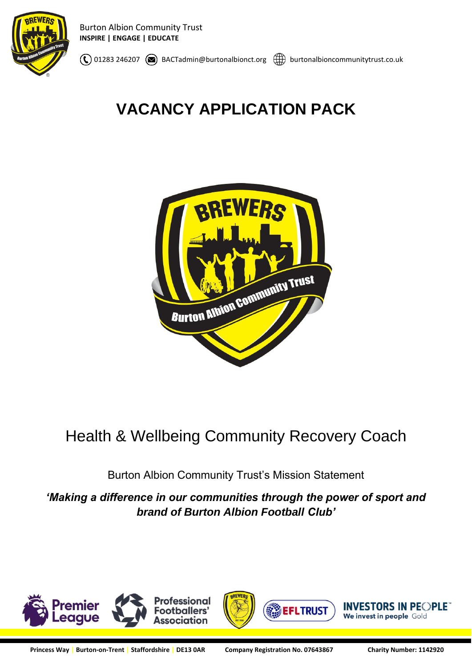

 $\binom{1}{0}$  01283 246207  $\binom{1}{0}$  BACTadmin@burtonalbionct.org  $\binom{1}{0}$  burtonalbioncommunitytrust.co.uk

# **VACANCY APPLICATION PACK**



# Health & Wellbeing Community Recovery Coach

Burton Albion Community Trust's Mission Statement

*'Making a difference in our communities through the power of sport and brand of Burton Albion Football Club'*

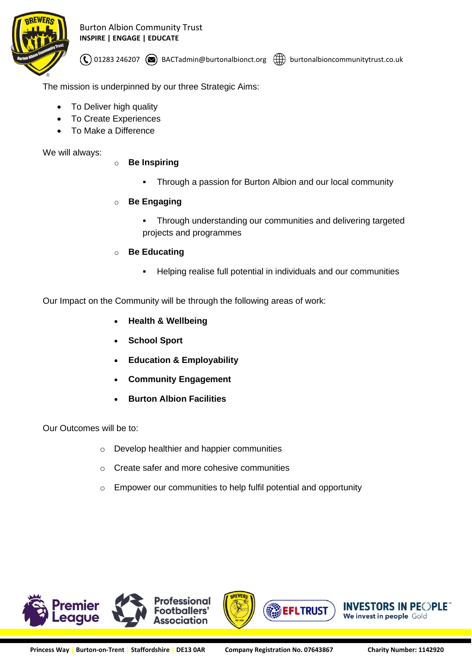

Burton Albion Community Trust **INSPIRE | ENGAGE | EDUCATE**

 $\mathcal{O}(0)$  01283 246207  $\mathcal{O}(1)$  BACTadmin@burtonalbionct.org  $\mathcal{O}(1)$  burtonalbioncommunitytrust.co.uk

The mission is underpinned by our three Strategic Aims:

- To Deliver high quality
- To Create Experiences
- To Make a Difference

We will always:

- o **Be Inspiring**
	- Through a passion for Burton Albion and our local community
- o **Be Engaging**
	- Through understanding our communities and delivering targeted projects and programmes
- o **Be Educating**
	- Helping realise full potential in individuals and our communities

Our Impact on the Community will be through the following areas of work:

- **Health & Wellbeing**
- **School Sport**
- **Education & Employability**
- **Community Engagement**
- **Burton Albion Facilities**

## Our Outcomes will be to:

- o Develop healthier and happier communities
- o Create safer and more cohesive communities
- o Empower our communities to help fulfil potential and opportunity

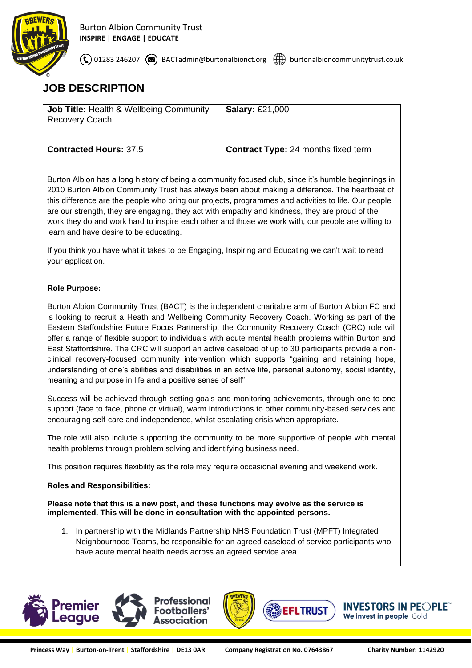

 $\mathcal{L}$  01283 246207  $\mathcal{D}$  BACTadmin@burtonalbionct.org  $\mathcal{D}$  burtonalbioncommunitytrust.co.uk

# **JOB DESCRIPTION**

| <b>Job Title: Health &amp; Wellbeing Community</b><br><b>Recovery Coach</b> | <b>Salary: £21,000</b>                     |
|-----------------------------------------------------------------------------|--------------------------------------------|
| <b>Contracted Hours: 37.5</b>                                               | <b>Contract Type: 24 months fixed term</b> |

Burton Albion has a long history of being a community focused club, since it's humble beginnings in 2010 Burton Albion Community Trust has always been about making a difference. The heartbeat of this difference are the people who bring our projects, programmes and activities to life. Our people are our strength, they are engaging, they act with empathy and kindness, they are proud of the work they do and work hard to inspire each other and those we work with, our people are willing to learn and have desire to be educating.

If you think you have what it takes to be Engaging, Inspiring and Educating we can't wait to read your application.

## **Role Purpose:**

Burton Albion Community Trust (BACT) is the independent charitable arm of Burton Albion FC and is looking to recruit a Heath and Wellbeing Community Recovery Coach. Working as part of the Eastern Staffordshire Future Focus Partnership, the Community Recovery Coach (CRC) role will offer a range of flexible support to individuals with acute mental health problems within Burton and East Staffordshire. The CRC will support an active caseload of up to 30 participants provide a nonclinical recovery-focused community intervention which supports "gaining and retaining hope, understanding of one's abilities and disabilities in an active life, personal autonomy, social identity, meaning and purpose in life and a positive sense of self".

Success will be achieved through setting goals and monitoring achievements, through one to one support (face to face, phone or virtual), warm introductions to other community-based services and encouraging self-care and independence, whilst escalating crisis when appropriate.

The role will also include supporting the community to be more supportive of people with mental health problems through problem solving and identifying business need.

This position requires flexibility as the role may require occasional evening and weekend work.

## **Roles and Responsibilities:**

#### **Please note that this is a new post, and these functions may evolve as the service is implemented. This will be done in consultation with the appointed persons.**

1. In partnership with the Midlands Partnership NHS Foundation Trust (MPFT) Integrated Neighbourhood Teams, be responsible for an agreed caseload of service participants who have acute mental health needs across an agreed service area.





**SEFLTRUST** 

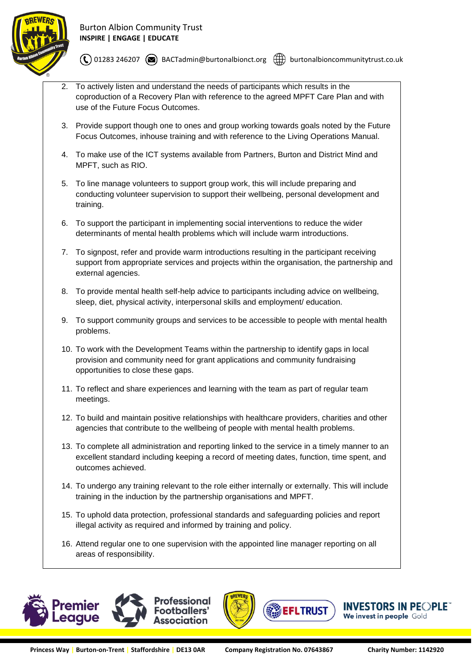

 $\textcircled{t}$  01283 246207  $\textcircled{t}$  BACTadmin@burtonalbionct.org  $\textcircled{t}$  burtonalbioncommunitytrust.co.uk

- 2. To actively listen and understand the needs of participants which results in the coproduction of a Recovery Plan with reference to the agreed MPFT Care Plan and with use of the Future Focus Outcomes.
- 3. Provide support though one to ones and group working towards goals noted by the Future Focus Outcomes, inhouse training and with reference to the Living Operations Manual.
- 4. To make use of the ICT systems available from Partners, Burton and District Mind and MPFT, such as RIO.
- 5. To line manage volunteers to support group work, this will include preparing and conducting volunteer supervision to support their wellbeing, personal development and training.
- 6. To support the participant in implementing social interventions to reduce the wider determinants of mental health problems which will include warm introductions.
- 7. To signpost, refer and provide warm introductions resulting in the participant receiving support from appropriate services and projects within the organisation, the partnership and external agencies.
- 8. To provide mental health self-help advice to participants including advice on wellbeing, sleep, diet, physical activity, interpersonal skills and employment/ education.
- 9. To support community groups and services to be accessible to people with mental health problems.
- 10. To work with the Development Teams within the partnership to identify gaps in local provision and community need for grant applications and community fundraising opportunities to close these gaps.
- 11. To reflect and share experiences and learning with the team as part of regular team meetings.
- 12. To build and maintain positive relationships with healthcare providers, charities and other agencies that contribute to the wellbeing of people with mental health problems.
- 13. To complete all administration and reporting linked to the service in a timely manner to an excellent standard including keeping a record of meeting dates, function, time spent, and outcomes achieved.
- 14. To undergo any training relevant to the role either internally or externally. This will include training in the induction by the partnership organisations and MPFT.
- 15. To uphold data protection, professional standards and safeguarding policies and report illegal activity as required and informed by training and policy.
- 16. Attend regular one to one supervision with the appointed line manager reporting on all areas of responsibility.





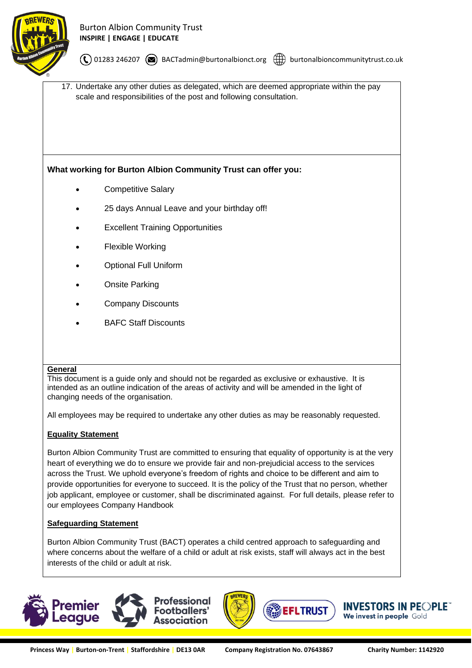

 $\mathcal{O}(0)$  01283 246207  $\mathcal{O}(n)$  BACTadmin@burtonalbionct.org  $\mathcal{O}(n)$  burtonalbioncommunitytrust.co.uk

17. Undertake any other duties as delegated, which are deemed appropriate within the pay scale and responsibilities of the post and following consultation.

## **What working for Burton Albion Community Trust can offer you:**

- Competitive Salary
- 25 days Annual Leave and your birthday off!
- **Excellent Training Opportunities**
- Flexible Working
- Optional Full Uniform
- **Onsite Parking**
- Company Discounts
- BAFC Staff Discounts

#### **General**

This document is a guide only and should not be regarded as exclusive or exhaustive. It is intended as an outline indication of the areas of activity and will be amended in the light of changing needs of the organisation.

All employees may be required to undertake any other duties as may be reasonably requested.

## **Equality Statement**

Burton Albion Community Trust are committed to ensuring that equality of opportunity is at the very heart of everything we do to ensure we provide fair and non-prejudicial access to the services across the Trust. We uphold everyone's freedom of rights and choice to be different and aim to provide opportunities for everyone to succeed. It is the policy of the Trust that no person, whether job applicant, employee or customer, shall be discriminated against. For full details, please refer to our employees Company Handbook

#### **Safeguarding Statement**

Burton Albion Community Trust (BACT) operates a child centred approach to safeguarding and where concerns about the welfare of a child or adult at risk exists, staff will always act in the best interests of the child or adult at risk.



**INVESTORS IN PEOPLE** 

We invest in people Gold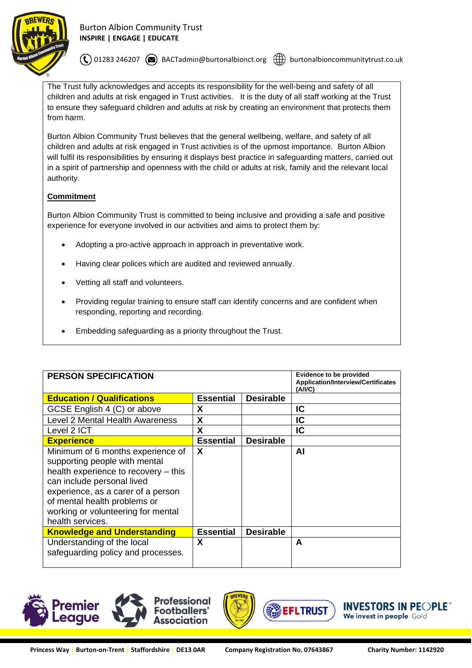

 $\mathcal{O}(0)$  01283 246207  $\mathcal{O}(n)$  BACTadmin@burtonalbionct.org  $\mathcal{O}(n)$  burtonalbioncommunitytrust.co.uk

The Trust fully acknowledges and accepts its responsibility for the well-being and safety of all children and adults at risk engaged in Trust activities. It is the duty of all staff working at the Trust to ensure they safeguard children and adults at risk by creating an environment that protects them from harm.

Burton Albion Community Trust believes that the general wellbeing, welfare, and safety of all children and adults at risk engaged in Trust activities is of the upmost importance. Burton Albion will fulfil its responsibilities by ensuring it displays best practice in safeguarding matters, carried out in a spirit of partnership and openness with the child or adults at risk, family and the relevant local authority.

#### **Commitment**

Burton Albion Community Trust is committed to being inclusive and providing a safe and positive experience for everyone involved in our activities and aims to protect them by:

- Adopting a pro-active approach in approach in preventative work.
- Having clear polices which are audited and reviewed annually.
- Vetting all staff and volunteers.
- Providing regular training to ensure staff can identify concerns and are confident when responding, reporting and recording.
- Embedding safeguarding as a priority throughout the Trust.

| <b>PERSON SPECIFICATION</b>                                                                                                                                                                                                                                              |                           |                  | <b>Evidence to be provided</b><br><b>Application/Interview/Certificates</b><br>(A/IC) |
|--------------------------------------------------------------------------------------------------------------------------------------------------------------------------------------------------------------------------------------------------------------------------|---------------------------|------------------|---------------------------------------------------------------------------------------|
| <b>Education / Qualifications</b>                                                                                                                                                                                                                                        | <b>Essential</b>          | <b>Desirable</b> |                                                                                       |
| GCSE English 4 (C) or above                                                                                                                                                                                                                                              | X                         |                  | IC                                                                                    |
| Level 2 Mental Health Awareness                                                                                                                                                                                                                                          | X                         |                  | IC                                                                                    |
| Level 2 ICT                                                                                                                                                                                                                                                              | X                         |                  | IC                                                                                    |
| <b>Experience</b>                                                                                                                                                                                                                                                        | <b>Essential</b>          | <b>Desirable</b> |                                                                                       |
| Minimum of 6 months experience of<br>supporting people with mental<br>health experience to recovery - this<br>can include personal lived<br>experience, as a carer of a person<br>of mental health problems or<br>working or volunteering for mental<br>health services. | $\boldsymbol{\mathsf{X}}$ |                  | ΑI                                                                                    |
| <b>Knowledge and Understanding</b>                                                                                                                                                                                                                                       | <b>Essential</b>          | <b>Desirable</b> |                                                                                       |
| Understanding of the local<br>safeguarding policy and processes.                                                                                                                                                                                                         | X                         |                  | A                                                                                     |





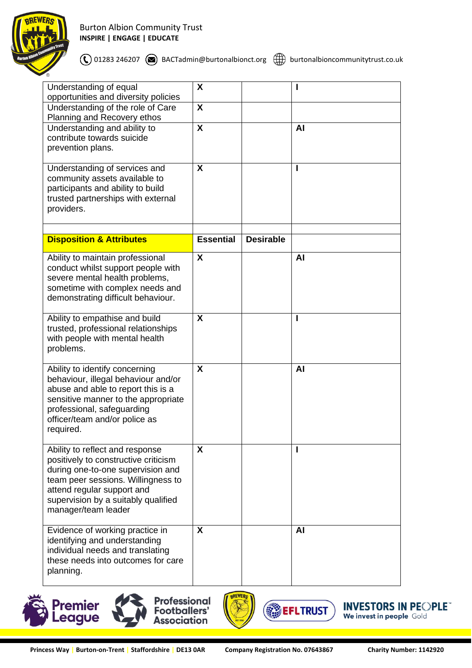

## Burton Albion Community Trust **INSPIRE | ENGAGE | EDUCATE**

 $\bigodot$  01283 246207  $\bigcircledast$  BACTadmin@burtonalbionct.org  $\bigcircledast$  burtonalbioncommunitytrust.co.uk

| Understanding of equal<br>opportunities and diversity policies                                                                                                                                                                                 | X                         |                  |           |
|------------------------------------------------------------------------------------------------------------------------------------------------------------------------------------------------------------------------------------------------|---------------------------|------------------|-----------|
| Understanding of the role of Care<br>Planning and Recovery ethos                                                                                                                                                                               | $\boldsymbol{\mathsf{X}}$ |                  |           |
| Understanding and ability to<br>contribute towards suicide<br>prevention plans.                                                                                                                                                                | $\boldsymbol{\mathsf{X}}$ |                  | AI        |
| Understanding of services and<br>community assets available to<br>participants and ability to build<br>trusted partnerships with external<br>providers.                                                                                        | X                         |                  |           |
| <b>Disposition &amp; Attributes</b>                                                                                                                                                                                                            | <b>Essential</b>          | <b>Desirable</b> |           |
| Ability to maintain professional<br>conduct whilst support people with<br>severe mental health problems,<br>sometime with complex needs and<br>demonstrating difficult behaviour.                                                              | X                         |                  | <b>AI</b> |
| Ability to empathise and build<br>trusted, professional relationships<br>with people with mental health<br>problems.                                                                                                                           | X                         |                  |           |
| Ability to identify concerning<br>behaviour, illegal behaviour and/or<br>abuse and able to report this is a<br>sensitive manner to the appropriate<br>professional, safeguarding<br>officer/team and/or police as<br>required.                 | X                         |                  | AI        |
| Ability to reflect and response<br>positively to constructive criticism<br>during one-to-one supervision and<br>team peer sessions. Willingness to<br>attend regular support and<br>supervision by a suitably qualified<br>manager/team leader | $\boldsymbol{\mathsf{X}}$ |                  |           |
| Evidence of working practice in<br>identifying and understanding<br>individual needs and translating<br>these needs into outcomes for care<br>planning.                                                                                        | X                         |                  | <b>AI</b> |







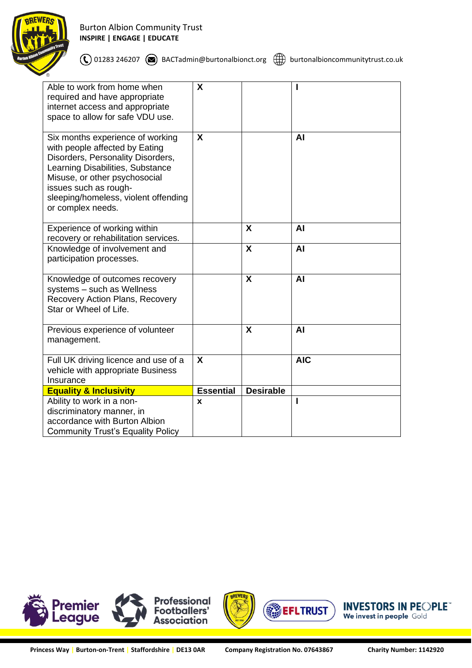

| Able to work from home when<br>required and have appropriate<br>internet access and appropriate<br>space to allow for safe VDU use.                                                                                                                                | X                         |                  |            |
|--------------------------------------------------------------------------------------------------------------------------------------------------------------------------------------------------------------------------------------------------------------------|---------------------------|------------------|------------|
| Six months experience of working<br>with people affected by Eating<br>Disorders, Personality Disorders,<br>Learning Disabilities, Substance<br>Misuse, or other psychosocial<br>issues such as rough-<br>sleeping/homeless, violent offending<br>or complex needs. | X                         |                  | AI         |
| Experience of working within<br>recovery or rehabilitation services.                                                                                                                                                                                               |                           | X                | AI         |
| Knowledge of involvement and<br>participation processes.                                                                                                                                                                                                           |                           | X                | AI         |
| Knowledge of outcomes recovery<br>systems - such as Wellness<br>Recovery Action Plans, Recovery<br>Star or Wheel of Life.                                                                                                                                          |                           | X                | AI         |
| Previous experience of volunteer<br>management.                                                                                                                                                                                                                    |                           | X                | AI         |
| Full UK driving licence and use of a<br>vehicle with appropriate Business<br>Insurance                                                                                                                                                                             | $\boldsymbol{\mathsf{X}}$ |                  | <b>AIC</b> |
| <b>Equality &amp; Inclusivity</b>                                                                                                                                                                                                                                  | <b>Essential</b>          | <b>Desirable</b> |            |
| Ability to work in a non-<br>discriminatory manner, in<br>accordance with Burton Albion<br><b>Community Trust's Equality Policy</b>                                                                                                                                | X                         |                  |            |